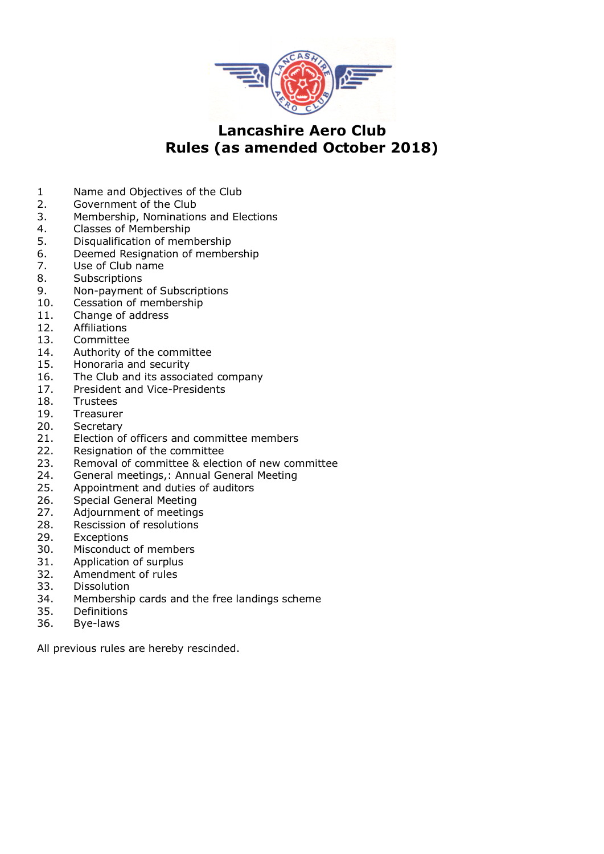

### **Lancashire Aero Club Rules (as amended October 2018)**

- 1 Name and Objectives of the Club
- 2. Government of the Club
- 3. Membership, Nominations and Elections
- 4. Classes of Membership
- 5. Disqualification of membership
- 6. Deemed Resignation of membership
- 7. Use of Club name
- 8. Subscriptions
- 9. Non-payment of Subscriptions
- 10. Cessation of membership
- 11. Change of address
- 12. Affiliations
- 13. Committee
- 14. Authority of the committee
- 15. Honoraria and security
- 16. The Club and its associated company
- 17. President and Vice-Presidents
- 18. Trustees
- 19. Treasurer
- 20. Secretary
- 21. Election of officers and committee members
- 22. Resignation of the committee
- 23. Removal of committee & election of new committee
- 24. General meetings,: Annual General Meeting
- 25. Appointment and duties of auditors
- 26. Special General Meeting
- 27. Adjournment of meetings
- 28. Rescission of resolutions
- 29. Exceptions
- 30. Misconduct of members
- 31. Application of surplus
- 32. Amendment of rules
- 33. Dissolution
- 34. Membership cards and the free landings scheme
- 35. Definitions
- 36. Bye-laws

All previous rules are hereby rescinded.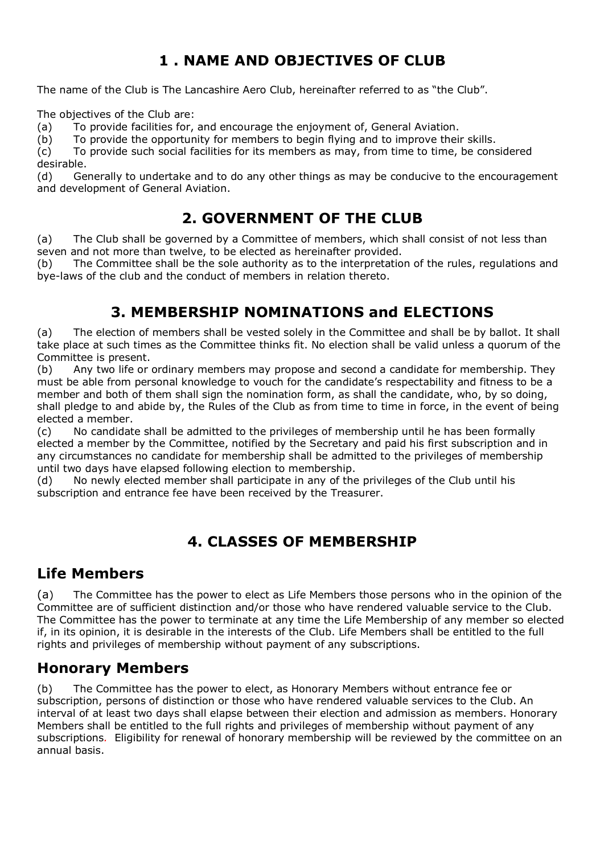# **1 . NAME AND OBJECTIVES OF CLUB**

The name of the Club is The Lancashire Aero Club, hereinafter referred to as "the Club".

The objectives of the Club are:

(a) To provide facilities for, and encourage the enjoyment of, General Aviation.

(b) To provide the opportunity for members to begin flying and to improve their skills.

(c) To provide such social facilities for its members as may, from time to time, be considered desirable.

(d) Generally to undertake and to do any other things as may be conducive to the encouragement and development of General Aviation.

## **2. GOVERNMENT OF THE CLUB**

(a) The Club shall be governed by a Committee of members, which shall consist of not less than seven and not more than twelve, to be elected as hereinafter provided.

(b) The Committee shall be the sole authority as to the interpretation of the rules, regulations and bye-laws of the club and the conduct of members in relation thereto.

## **3. MEMBERSHIP NOMINATIONS and ELECTIONS**

(a) The election of members shall be vested solely in the Committee and shall be by ballot. It shall take place at such times as the Committee thinks fit. No election shall be valid unless a quorum of the Committee is present.

(b) Any two life or ordinary members may propose and second a candidate for membership. They must be able from personal knowledge to vouch for the candidate's respectability and fitness to be a member and both of them shall sign the nomination form, as shall the candidate, who, by so doing, shall pledge to and abide by, the Rules of the Club as from time to time in force, in the event of being elected a member.

(c) No candidate shall be admitted to the privileges of membership until he has been formally elected a member by the Committee, notified by the Secretary and paid his first subscription and in any circumstances no candidate for membership shall be admitted to the privileges of membership until two days have elapsed following election to membership.

(d) No newly elected member shall participate in any of the privileges of the Club until his subscription and entrance fee have been received by the Treasurer.

## **4. CLASSES OF MEMBERSHIP**

### **Life Members**

(a) The Committee has the power to elect as Life Members those persons who in the opinion of the Committee are of sufficient distinction and/or those who have rendered valuable service to the Club. The Committee has the power to terminate at any time the Life Membership of any member so elected if, in its opinion, it is desirable in the interests of the Club. Life Members shall be entitled to the full rights and privileges of membership without payment of any subscriptions.

### **Honorary Members**

(b) The Committee has the power to elect, as Honorary Members without entrance fee or subscription, persons of distinction or those who have rendered valuable services to the Club. An interval of at least two days shall elapse between their election and admission as members. Honorary Members shall be entitled to the full rights and privileges of membership without payment of any subscriptions*.* Eligibility for renewal of honorary membership will be reviewed by the committee on an annual basis.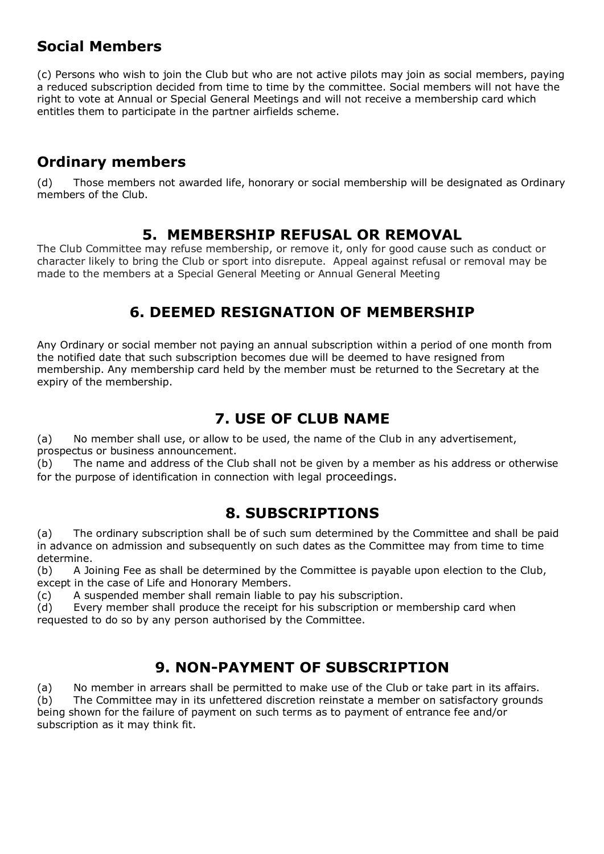## **Social Members**

(c) Persons who wish to join the Club but who are not active pilots may join as social members, paying a reduced subscription decided from time to time by the committee. Social members will not have the right to vote at Annual or Special General Meetings and will not receive a membership card which entitles them to participate in the partner airfields scheme.

## **Ordinary members**

(d) Those members not awarded life, honorary or social membership will be designated as Ordinary members of the Club.

#### **5. MEMBERSHIP REFUSAL OR REMOVAL**

The Club Committee may refuse membership, or remove it, only for good cause such as conduct or character likely to bring the Club or sport into disrepute. Appeal against refusal or removal may be made to the members at a Special General Meeting or Annual General Meeting

## **6. DEEMED RESIGNATION OF MEMBERSHIP**

Any Ordinary or social member not paying an annual subscription within a period of one month from the notified date that such subscription becomes due will be deemed to have resigned from membership. Any membership card held by the member must be returned to the Secretary at the expiry of the membership.

## **7. USE OF CLUB NAME**

(a) No member shall use, or allow to be used, the name of the Club in any advertisement, prospectus or business announcement.

(b) The name and address of the Club shall not be given by a member as his address or otherwise for the purpose of identification in connection with legal proceedings.

### **8. SUBSCRIPTIONS**

(a) The ordinary subscription shall be of such sum determined by the Committee and shall be paid in advance on admission and subsequently on such dates as the Committee may from time to time determine.

(b) A Joining Fee as shall be determined by the Committee is payable upon election to the Club, except in the case of Life and Honorary Members.

(c) A suspended member shall remain liable to pay his subscription.

(d) Every member shall produce the receipt for his subscription or membership card when requested to do so by any person authorised by the Committee.

## **9. NON-PAYMENT OF SUBSCRIPTION**

(a) No member in arrears shall be permitted to make use of the Club or take part in its affairs. (b) The Committee may in its unfettered discretion reinstate a member on satisfactory grounds being shown for the failure of payment on such terms as to payment of entrance fee and/or subscription as it may think fit.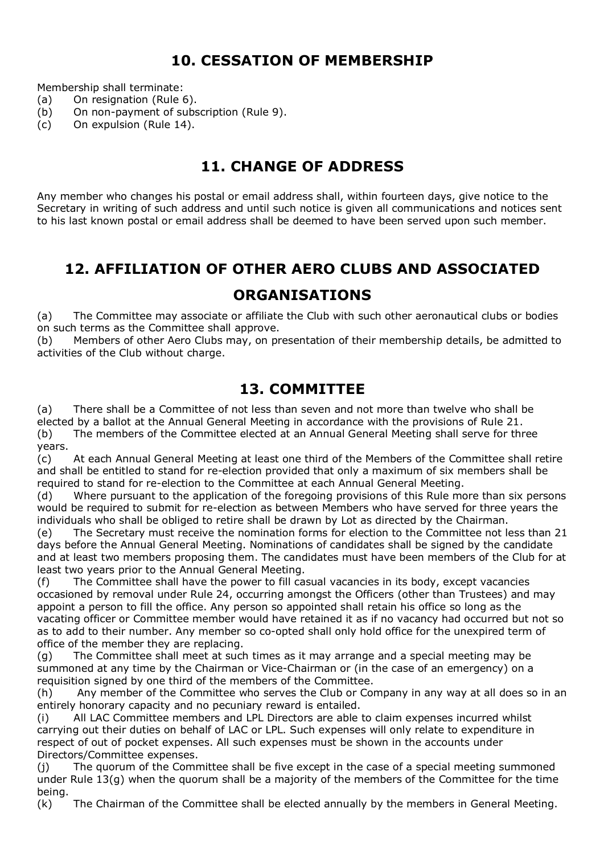## **10. CESSATION OF MEMBERSHIP**

Membership shall terminate:

- (a) On resignation (Rule 6).
- (b) On non-payment of subscription (Rule 9).
- (c) On expulsion (Rule 14).

## **11. CHANGE OF ADDRESS**

Any member who changes his postal or email address shall, within fourteen days, give notice to the Secretary in writing of such address and until such notice is given all communications and notices sent to his last known postal or email address shall be deemed to have been served upon such member.

# **12. AFFILIATION OF OTHER AERO CLUBS AND ASSOCIATED**

#### **ORGANISATIONS**

(a) The Committee may associate or affiliate the Club with such other aeronautical clubs or bodies on such terms as the Committee shall approve.

(b) Members of other Aero Clubs may, on presentation of their membership details, be admitted to activities of the Club without charge.

### **13. COMMITTEE**

(a) There shall be a Committee of not less than seven and not more than twelve who shall be elected by a ballot at the Annual General Meeting in accordance with the provisions of Rule 21.

(b) The members of the Committee elected at an Annual General Meeting shall serve for three years.

(c) At each Annual General Meeting at least one third of the Members of the Committee shall retire and shall be entitled to stand for re-election provided that only a maximum of six members shall be required to stand for re-election to the Committee at each Annual General Meeting.

(d) Where pursuant to the application of the foregoing provisions of this Rule more than six persons would be required to submit for re-election as between Members who have served for three years the individuals who shall be obliged to retire shall be drawn by Lot as directed by the Chairman.

(e) The Secretary must receive the nomination forms for election to the Committee not less than 21 days before the Annual General Meeting. Nominations of candidates shall be signed by the candidate and at least two members proposing them. The candidates must have been members of the Club for at least two years prior to the Annual General Meeting.

(f) The Committee shall have the power to fill casual vacancies in its body, except vacancies occasioned by removal under Rule 24, occurring amongst the Officers (other than Trustees) and may appoint a person to fill the office. Any person so appointed shall retain his office so long as the vacating officer or Committee member would have retained it as if no vacancy had occurred but not so as to add to their number. Any member so co-opted shall only hold office for the unexpired term of office of the member they are replacing.

(g) The Committee shall meet at such times as it may arrange and a special meeting may be summoned at any time by the Chairman or Vice-Chairman or (in the case of an emergency) on a requisition signed by one third of the members of the Committee.

(h) Any member of the Committee who serves the Club or Company in any way at all does so in an entirely honorary capacity and no pecuniary reward is entailed.

(i) All LAC Committee members and LPL Directors are able to claim expenses incurred whilst carrying out their duties on behalf of LAC or LPL. Such expenses will only relate to expenditure in respect of out of pocket expenses. All such expenses must be shown in the accounts under Directors/Committee expenses.

(j) The quorum of the Committee shall be five except in the case of a special meeting summoned under Rule 13(g) when the quorum shall be a majority of the members of the Committee for the time being.

(k) The Chairman of the Committee shall be elected annually by the members in General Meeting.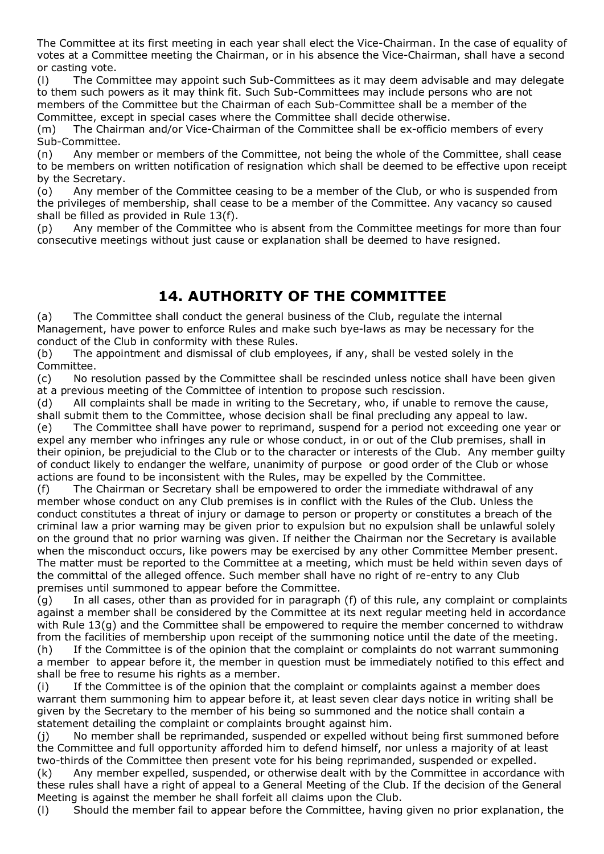The Committee at its first meeting in each year shall elect the Vice-Chairman. In the case of equality of votes at a Committee meeting the Chairman, or in his absence the Vice-Chairman, shall have a second or casting vote.

(l) The Committee may appoint such Sub-Committees as it may deem advisable and may delegate to them such powers as it may think fit. Such Sub-Committees may include persons who are not members of the Committee but the Chairman of each Sub-Committee shall be a member of the Committee, except in special cases where the Committee shall decide otherwise.

(m) The Chairman and/or Vice-Chairman of the Committee shall be ex-officio members of every Sub-Committee.

(n) Any member or members of the Committee, not being the whole of the Committee, shall cease to be members on written notification of resignation which shall be deemed to be effective upon receipt by the Secretary.

(o) Any member of the Committee ceasing to be a member of the Club, or who is suspended from the privileges of membership, shall cease to be a member of the Committee. Any vacancy so caused shall be filled as provided in Rule 13(f).

(p) Any member of the Committee who is absent from the Committee meetings for more than four consecutive meetings without just cause or explanation shall be deemed to have resigned.

## **14. AUTHORITY OF THE COMMITTEE**

(a) The Committee shall conduct the general business of the Club, regulate the internal Management, have power to enforce Rules and make such bye-laws as may be necessary for the conduct of the Club in conformity with these Rules.

(b) The appointment and dismissal of club employees, if any, shall be vested solely in the Committee.

(c) No resolution passed by the Committee shall be rescinded unless notice shall have been given at a previous meeting of the Committee of intention to propose such rescission.

(d) All complaints shall be made in writing to the Secretary, who, if unable to remove the cause, shall submit them to the Committee, whose decision shall be final precluding any appeal to law.

(e) The Committee shall have power to reprimand, suspend for a period not exceeding one year or expel any member who infringes any rule or whose conduct, in or out of the Club premises, shall in their opinion, be prejudicial to the Club or to the character or interests of the Club. Any member guilty of conduct likely to endanger the welfare, unanimity of purpose or good order of the Club or whose actions are found to be inconsistent with the Rules, may be expelled by the Committee.

(f) The Chairman or Secretary shall be empowered to order the immediate withdrawal of any member whose conduct on any Club premises is in conflict with the Rules of the Club. Unless the conduct constitutes a threat of injury or damage to person or property or constitutes a breach of the criminal law a prior warning may be given prior to expulsion but no expulsion shall be unlawful solely on the ground that no prior warning was given. If neither the Chairman nor the Secretary is available when the misconduct occurs, like powers may be exercised by any other Committee Member present. The matter must be reported to the Committee at a meeting, which must be held within seven days of the committal of the alleged offence. Such member shall have no right of re-entry to any Club premises until summoned to appear before the Committee.

(g) In all cases, other than as provided for in paragraph (f) of this rule, any complaint or complaints against a member shall be considered by the Committee at its next regular meeting held in accordance with Rule 13(g) and the Committee shall be empowered to require the member concerned to withdraw from the facilities of membership upon receipt of the summoning notice until the date of the meeting. (h) If the Committee is of the opinion that the complaint or complaints do not warrant summoning a member to appear before it, the member in question must be immediately notified to this effect and shall be free to resume his rights as a member.

(i) If the Committee is of the opinion that the complaint or complaints against a member does warrant them summoning him to appear before it, at least seven clear days notice in writing shall be given by the Secretary to the member of his being so summoned and the notice shall contain a statement detailing the complaint or complaints brought against him.

(j) No member shall be reprimanded, suspended or expelled without being first summoned before the Committee and full opportunity afforded him to defend himself, nor unless a majority of at least two-thirds of the Committee then present vote for his being reprimanded, suspended or expelled.

(k) Any member expelled, suspended, or otherwise dealt with by the Committee in accordance with these rules shall have a right of appeal to a General Meeting of the Club. If the decision of the General Meeting is against the member he shall forfeit all claims upon the Club.

(l) Should the member fail to appear before the Committee, having given no prior explanation, the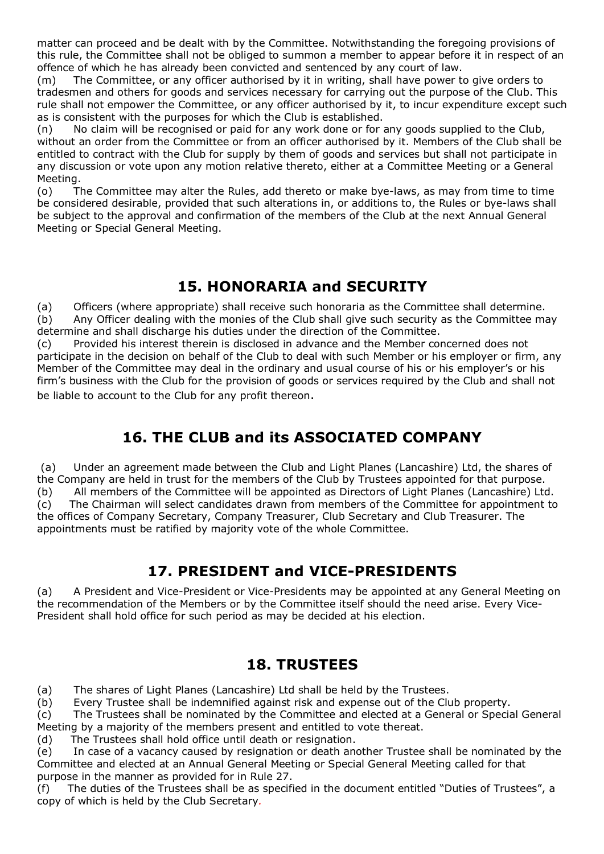matter can proceed and be dealt with by the Committee. Notwithstanding the foregoing provisions of this rule, the Committee shall not be obliged to summon a member to appear before it in respect of an offence of which he has already been convicted and sentenced by any court of law.

(m) The Committee, or any officer authorised by it in writing, shall have power to give orders to tradesmen and others for goods and services necessary for carrying out the purpose of the Club. This rule shall not empower the Committee, or any officer authorised by it, to incur expenditure except such as is consistent with the purposes for which the Club is established.

(n) No claim will be recognised or paid for any work done or for any goods supplied to the Club, without an order from the Committee or from an officer authorised by it. Members of the Club shall be entitled to contract with the Club for supply by them of goods and services but shall not participate in any discussion or vote upon any motion relative thereto, either at a Committee Meeting or a General Meeting.

(o) The Committee may alter the Rules, add thereto or make bye-laws, as may from time to time be considered desirable, provided that such alterations in, or additions to, the Rules or bye-laws shall be subject to the approval and confirmation of the members of the Club at the next Annual General Meeting or Special General Meeting.

## **15. HONORARIA and SECURITY**

(a) Officers (where appropriate) shall receive such honoraria as the Committee shall determine. (b) Any Officer dealing with the monies of the Club shall give such security as the Committee may determine and shall discharge his duties under the direction of the Committee.

(c) Provided his interest therein is disclosed in advance and the Member concerned does not participate in the decision on behalf of the Club to deal with such Member or his employer or firm, any Member of the Committee may deal in the ordinary and usual course of his or his employer's or his firm's business with the Club for the provision of goods or services required by the Club and shall not be liable to account to the Club for any profit thereon.

## **16. THE CLUB and its ASSOCIATED COMPANY**

(a) Under an agreement made between the Club and Light Planes (Lancashire) Ltd, the shares of the Company are held in trust for the members of the Club by Trustees appointed for that purpose. (b) All members of the Committee will be appointed as Directors of Light Planes (Lancashire) Ltd. (c) The Chairman will select candidates drawn from members of the Committee for appointment to the offices of Company Secretary, Company Treasurer, Club Secretary and Club Treasurer. The appointments must be ratified by majority vote of the whole Committee.

## **17. PRESIDENT and VICE-PRESIDENTS**

(a) A President and Vice-President or Vice-Presidents may be appointed at any General Meeting on the recommendation of the Members or by the Committee itself should the need arise. Every Vice-President shall hold office for such period as may be decided at his election.

### **18. TRUSTEES**

(a) The shares of Light Planes (Lancashire) Ltd shall be held by the Trustees.

(b) Every Trustee shall be indemnified against risk and expense out of the Club property.

(c) The Trustees shall be nominated by the Committee and elected at a General or Special General Meeting by a majority of the members present and entitled to vote thereat.

(d) The Trustees shall hold office until death or resignation.

(e) In case of a vacancy caused by resignation or death another Trustee shall be nominated by the Committee and elected at an Annual General Meeting or Special General Meeting called for that purpose in the manner as provided for in Rule 27.

(f) The duties of the Trustees shall be as specified in the document entitled "Duties of Trustees", a copy of which is held by the Club Secretary*.*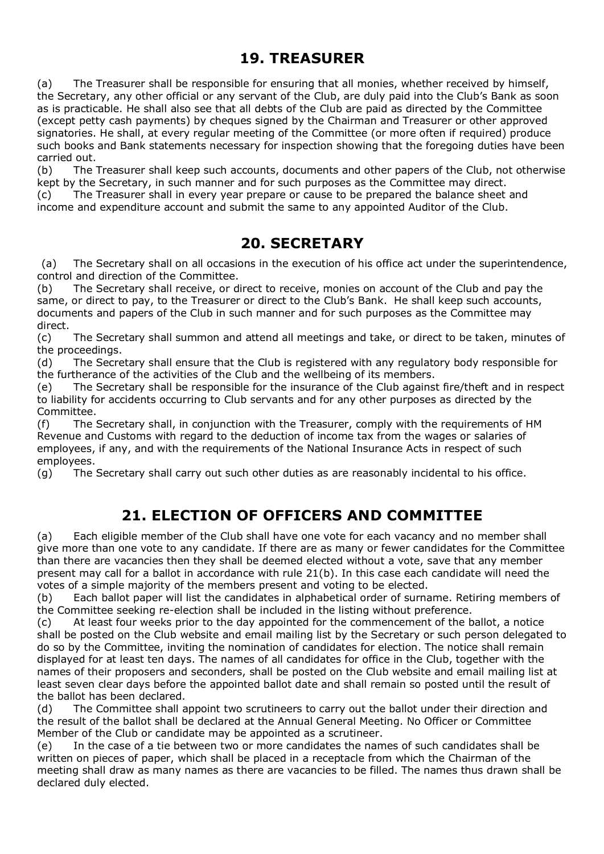## **19. TREASURER**

(a) The Treasurer shall be responsible for ensuring that all monies, whether received by himself, the Secretary, any other official or any servant of the Club, are duly paid into the Club's Bank as soon as is practicable. He shall also see that all debts of the Club are paid as directed by the Committee (except petty cash payments) by cheques signed by the Chairman and Treasurer or other approved signatories. He shall, at every regular meeting of the Committee (or more often if required) produce such books and Bank statements necessary for inspection showing that the foregoing duties have been carried out.

(b) The Treasurer shall keep such accounts, documents and other papers of the Club, not otherwise kept by the Secretary, in such manner and for such purposes as the Committee may direct. (c) The Treasurer shall in every year prepare or cause to be prepared the balance sheet and income and expenditure account and submit the same to any appointed Auditor of the Club.

### **20. SECRETARY**

(a) The Secretary shall on all occasions in the execution of his office act under the superintendence, control and direction of the Committee.

(b) The Secretary shall receive, or direct to receive, monies on account of the Club and pay the same, or direct to pay, to the Treasurer or direct to the Club's Bank. He shall keep such accounts, documents and papers of the Club in such manner and for such purposes as the Committee may direct.

(c) The Secretary shall summon and attend all meetings and take, or direct to be taken, minutes of the proceedings.

(d) The Secretary shall ensure that the Club is registered with any regulatory body responsible for the furtherance of the activities of the Club and the wellbeing of its members.

(e) The Secretary shall be responsible for the insurance of the Club against fire/theft and in respect to liability for accidents occurring to Club servants and for any other purposes as directed by the Committee.

(f) The Secretary shall, in conjunction with the Treasurer, comply with the requirements of HM Revenue and Customs with regard to the deduction of income tax from the wages or salaries of employees, if any, and with the requirements of the National Insurance Acts in respect of such employees.

(g) The Secretary shall carry out such other duties as are reasonably incidental to his office.

### **21. ELECTION OF OFFICERS AND COMMITTEE**

(a) Each eligible member of the Club shall have one vote for each vacancy and no member shall give more than one vote to any candidate. If there are as many or fewer candidates for the Committee than there are vacancies then they shall be deemed elected without a vote, save that any member present may call for a ballot in accordance with rule 21(b). In this case each candidate will need the votes of a simple majority of the members present and voting to be elected.

(b) Each ballot paper will list the candidates in alphabetical order of surname. Retiring members of the Committee seeking re-election shall be included in the listing without preference.

(c) At least four weeks prior to the day appointed for the commencement of the ballot, a notice shall be posted on the Club website and email mailing list by the Secretary or such person delegated to do so by the Committee, inviting the nomination of candidates for election. The notice shall remain displayed for at least ten days. The names of all candidates for office in the Club, together with the names of their proposers and seconders, shall be posted on the Club website and email mailing list at least seven clear days before the appointed ballot date and shall remain so posted until the result of the ballot has been declared.

(d) The Committee shall appoint two scrutineers to carry out the ballot under their direction and the result of the ballot shall be declared at the Annual General Meeting. No Officer or Committee Member of the Club or candidate may be appointed as a scrutineer.

(e) In the case of a tie between two or more candidates the names of such candidates shall be written on pieces of paper, which shall be placed in a receptacle from which the Chairman of the meeting shall draw as many names as there are vacancies to be filled. The names thus drawn shall be declared duly elected.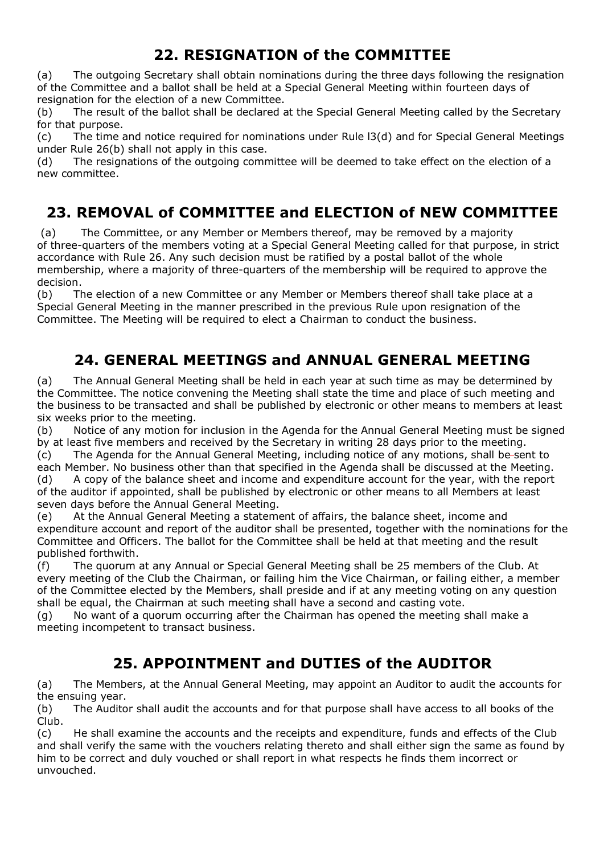## **22. RESIGNATION of the COMMITTEE**

(a) The outgoing Secretary shall obtain nominations during the three days following the resignation of the Committee and a ballot shall be held at a Special General Meeting within fourteen days of resignation for the election of a new Committee.

(b) The result of the ballot shall be declared at the Special General Meeting called by the Secretary for that purpose.

(c) The time and notice required for nominations under Rule l3(d) and for Special General Meetings under Rule 26(b) shall not apply in this case.

(d) The resignations of the outgoing committee will be deemed to take effect on the election of a new committee.

# **23. REMOVAL of COMMITTEE and ELECTION of NEW COMMITTEE**

(a) The Committee, or any Member or Members thereof, may be removed by a majority of three-quarters of the members voting at a Special General Meeting called for that purpose, in strict accordance with Rule 26. Any such decision must be ratified by a postal ballot of the whole membership, where a majority of three-quarters of the membership will be required to approve the decision.

(b) The election of a new Committee or any Member or Members thereof shall take place at a Special General Meeting in the manner prescribed in the previous Rule upon resignation of the Committee. The Meeting will be required to elect a Chairman to conduct the business.

# **24. GENERAL MEETINGS and ANNUAL GENERAL MEETING**

(a) The Annual General Meeting shall be held in each year at such time as may be determined by the Committee. The notice convening the Meeting shall state the time and place of such meeting and the business to be transacted and shall be published by electronic or other means to members at least six weeks prior to the meeting.

(b) Notice of any motion for inclusion in the Agenda for the Annual General Meeting must be signed by at least five members and received by the Secretary in writing 28 days prior to the meeting. (c) The Agenda for the Annual General Meeting, including notice of any motions, shall be sent to each Member. No business other than that specified in the Agenda shall be discussed at the Meeting. (d) A copy of the balance sheet and income and expenditure account for the year, with the report

of the auditor if appointed, shall be published by electronic or other means to all Members at least seven days before the Annual General Meeting.

(e) At the Annual General Meeting a statement of affairs, the balance sheet, income and expenditure account and report of the auditor shall be presented, together with the nominations for the Committee and Officers. The ballot for the Committee shall be held at that meeting and the result published forthwith.

(f) The quorum at any Annual or Special General Meeting shall be 25 members of the Club. At every meeting of the Club the Chairman, or failing him the Vice Chairman, or failing either, a member of the Committee elected by the Members, shall preside and if at any meeting voting on any question shall be equal, the Chairman at such meeting shall have a second and casting vote.

(g) No want of a quorum occurring after the Chairman has opened the meeting shall make a meeting incompetent to transact business.

# **25. APPOINTMENT and DUTIES of the AUDITOR**

(a) The Members, at the Annual General Meeting, may appoint an Auditor to audit the accounts for the ensuing year.

(b) The Auditor shall audit the accounts and for that purpose shall have access to all books of the Club.

(c) He shall examine the accounts and the receipts and expenditure, funds and effects of the Club and shall verify the same with the vouchers relating thereto and shall either sign the same as found by him to be correct and duly vouched or shall report in what respects he finds them incorrect or unvouched.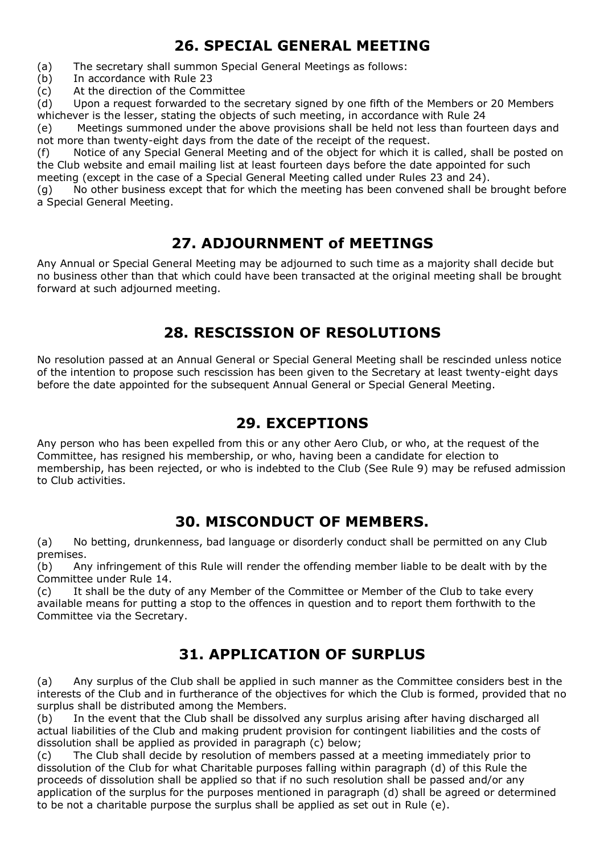## **26. SPECIAL GENERAL MEETING**

(a) The secretary shall summon Special General Meetings as follows:

(b) In accordance with Rule 23

(c) At the direction of the Committee

(d) Upon a request forwarded to the secretary signed by one fifth of the Members or 20 Members whichever is the lesser, stating the objects of such meeting, in accordance with Rule 24

(e) Meetings summoned under the above provisions shall be held not less than fourteen days and not more than twenty-eight days from the date of the receipt of the request.

(f) Notice of any Special General Meeting and of the object for which it is called, shall be posted on the Club website and email mailing list at least fourteen days before the date appointed for such meeting (except in the case of a Special General Meeting called under Rules 23 and 24).

(g) No other business except that for which the meeting has been convened shall be brought before a Special General Meeting.

## **27. ADJOURNMENT of MEETINGS**

Any Annual or Special General Meeting may be adjourned to such time as a majority shall decide but no business other than that which could have been transacted at the original meeting shall be brought forward at such adjourned meeting.

### **28. RESCISSION OF RESOLUTIONS**

No resolution passed at an Annual General or Special General Meeting shall be rescinded unless notice of the intention to propose such rescission has been given to the Secretary at least twenty-eight days before the date appointed for the subsequent Annual General or Special General Meeting.

## **29. EXCEPTIONS**

Any person who has been expelled from this or any other Aero Club, or who, at the request of the Committee, has resigned his membership, or who, having been a candidate for election to membership, has been rejected, or who is indebted to the Club (See Rule 9) may be refused admission to Club activities.

### **30. MISCONDUCT OF MEMBERS.**

(a) No betting, drunkenness, bad language or disorderly conduct shall be permitted on any Club premises.

(b) Any infringement of this Rule will render the offending member liable to be dealt with by the Committee under Rule 14.

(c) It shall be the duty of any Member of the Committee or Member of the Club to take every available means for putting a stop to the offences in question and to report them forthwith to the Committee via the Secretary.

## **31. APPLICATION OF SURPLUS**

(a) Any surplus of the Club shall be applied in such manner as the Committee considers best in the interests of the Club and in furtherance of the objectives for which the Club is formed, provided that no surplus shall be distributed among the Members.

(b) In the event that the Club shall be dissolved any surplus arising after having discharged all actual liabilities of the Club and making prudent provision for contingent liabilities and the costs of dissolution shall be applied as provided in paragraph (c) below;

(c) The Club shall decide by resolution of members passed at a meeting immediately prior to dissolution of the Club for what Charitable purposes falling within paragraph (d) of this Rule the proceeds of dissolution shall be applied so that if no such resolution shall be passed and/or any application of the surplus for the purposes mentioned in paragraph (d) shall be agreed or determined to be not a charitable purpose the surplus shall be applied as set out in Rule (e).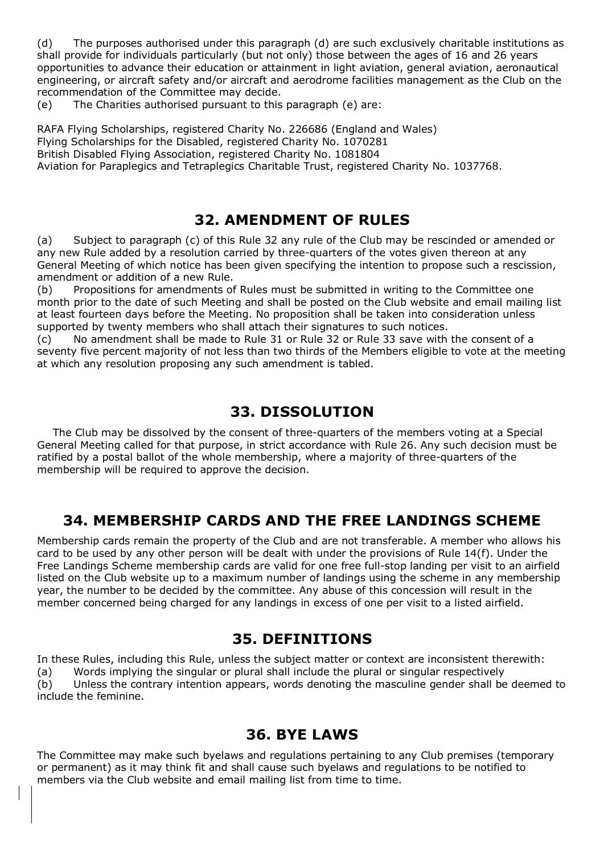(d) The purposes authorised under this paragraph (d) are such exclusively charitable institutions as shall provide for individuals particularly (but not only) those between the ages of 16 and 26 years opportunities to advance their education or attainment in light aviation, general aviation, aeronautical engineering, or aircraft safety and/or aircraft and aerodrome facilities management as the Club on the recommendation of the Committee may decide.

(e) The Charities authorised pursuant to this paragraph (e) are:

RAFA Flying Scholarships, registered Charity No. 226686 (England and Wales) Flying Scholarships for the Disabled, registered Charity No. 1070281 British Disabled Flying Association, registered Charity No. 1081804 Aviation for Paraplegics and Tetraplegics Charitable Trust, registered Charity No. 1037768.

#### **32. AMENDMENT OF RULES**

(a) Subject to paragraph (c) of this Rule 32 any rule of the Club may be rescinded or amended or any new Rule added by a resolution carried by three-quarters of the votes given thereon at any General Meeting of which notice has been given specifying the intention to propose such a rescission, amendment or addition of a new Rule.

(b) Propositions for amendments of Rules must be submitted in writing to the Committee one month prior to the date of such Meeting and shall be posted on the Club website and email mailing list at least fourteen days before the Meeting. No proposition shall be taken into consideration unless supported by twenty members who shall attach their signatures to such notices.

(c) No amendment shall be made to Rule 31 or Rule 32 or Rule 33 save with the consent of a seventy five percent majority of not less than two thirds of the Members eligible to vote at the meeting at which any resolution proposing any such amendment is tabled.

#### **33. DISSOLUTION**

 The Club may be dissolved by the consent of three-quarters of the members voting at a Special General Meeting called for that purpose, in strict accordance with Rule 26. Any such decision must be ratified by a postal ballot of the whole membership, where a majority of three-quarters of the membership will be required to approve the decision.

### **34. MEMBERSHIP CARDS AND THE FREE LANDINGS SCHEME**

Membership cards remain the property of the Club and are not transferable. A member who allows his card to be used by any other person will be dealt with under the provisions of Rule 14(f). Under the Free Landings Scheme membership cards are valid for one free full-stop landing per visit to an airfield listed on the Club website up to a maximum number of landings using the scheme in any membership year, the number to be decided by the committee. Any abuse of this concession will result in the member concerned being charged for any landings in excess of one per visit to a listed airfield.

### **35. DEFINITIONS**

In these Rules, including this Rule, unless the subject matter or context are inconsistent therewith: (a) Words implying the singular or plural shall include the plural or singular respectively (b) Unless the contrary intention appears, words denoting the masculine gender shall be deemed to include the feminine.

## **36. BYE LAWS**

The Committee may make such byelaws and regulations pertaining to any Club premises (temporary or permanent) as it may think fit and shall cause such byelaws and regulations to be notified to members via the Club website and email mailing list from time to time.